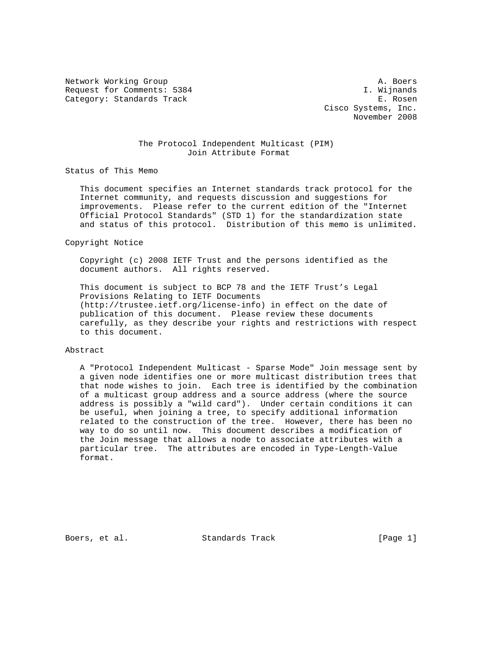Network Working Group and the set of the set of the set of the set of the set of the set of the set of the set of the set of the set of the set of the set of the set of the set of the set of the set of the set of the set o Request for Comments: 5384 I. Wijnands Category: Standards Track E. Rosen

 Cisco Systems, Inc. November 2008

# The Protocol Independent Multicast (PIM) Join Attribute Format

Status of This Memo

 This document specifies an Internet standards track protocol for the Internet community, and requests discussion and suggestions for improvements. Please refer to the current edition of the "Internet Official Protocol Standards" (STD 1) for the standardization state and status of this protocol. Distribution of this memo is unlimited.

#### Copyright Notice

 Copyright (c) 2008 IETF Trust and the persons identified as the document authors. All rights reserved.

 This document is subject to BCP 78 and the IETF Trust's Legal Provisions Relating to IETF Documents (http://trustee.ietf.org/license-info) in effect on the date of publication of this document. Please review these documents carefully, as they describe your rights and restrictions with respect to this document.

#### Abstract

 A "Protocol Independent Multicast - Sparse Mode" Join message sent by a given node identifies one or more multicast distribution trees that that node wishes to join. Each tree is identified by the combination of a multicast group address and a source address (where the source address is possibly a "wild card"). Under certain conditions it can be useful, when joining a tree, to specify additional information related to the construction of the tree. However, there has been no way to do so until now. This document describes a modification of the Join message that allows a node to associate attributes with a particular tree. The attributes are encoded in Type-Length-Value format.

Boers, et al. Standards Track [Page 1]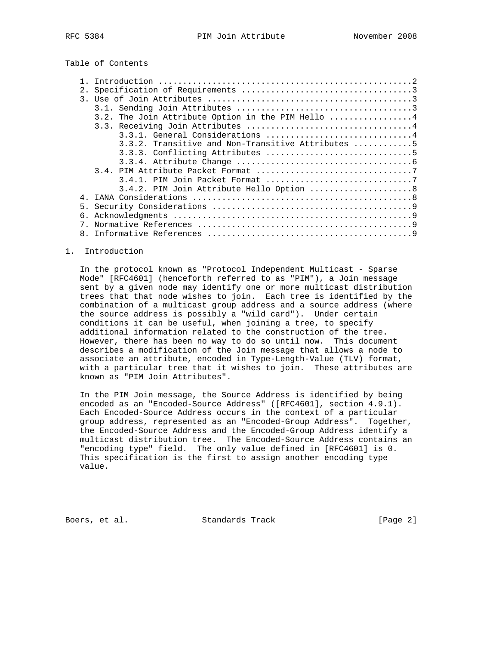# Table of Contents

| 2. |                                                      |
|----|------------------------------------------------------|
|    |                                                      |
|    |                                                      |
|    | 3.2. The Join Attribute Option in the PIM Hello 4    |
|    |                                                      |
|    | 3.3.1. General Considerations 4                      |
|    | $3.3.2$ . Transitive and Non-Transitive Attributes 5 |
|    |                                                      |
|    |                                                      |
|    |                                                      |
|    |                                                      |
|    | 3.4.2. PIM Join Attribute Hello Option 8             |
| 4  |                                                      |
| 5. |                                                      |
|    |                                                      |
|    |                                                      |
|    |                                                      |
|    |                                                      |

### 1. Introduction

 In the protocol known as "Protocol Independent Multicast - Sparse Mode" [RFC4601] (henceforth referred to as "PIM"), a Join message sent by a given node may identify one or more multicast distribution trees that that node wishes to join. Each tree is identified by the combination of a multicast group address and a source address (where the source address is possibly a "wild card"). Under certain conditions it can be useful, when joining a tree, to specify additional information related to the construction of the tree. However, there has been no way to do so until now. This document describes a modification of the Join message that allows a node to associate an attribute, encoded in Type-Length-Value (TLV) format, with a particular tree that it wishes to join. These attributes are known as "PIM Join Attributes".

 In the PIM Join message, the Source Address is identified by being encoded as an "Encoded-Source Address" ([RFC4601], section 4.9.1). Each Encoded-Source Address occurs in the context of a particular group address, represented as an "Encoded-Group Address". Together, the Encoded-Source Address and the Encoded-Group Address identify a multicast distribution tree. The Encoded-Source Address contains an "encoding type" field. The only value defined in [RFC4601] is 0. This specification is the first to assign another encoding type value.

Boers, et al. Standards Track [Page 2]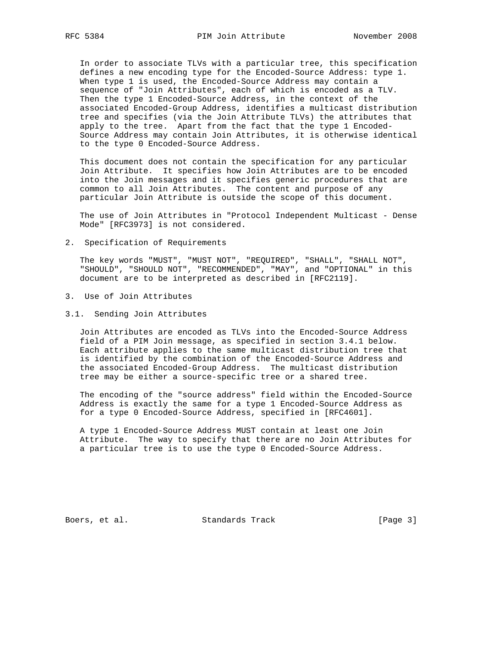In order to associate TLVs with a particular tree, this specification defines a new encoding type for the Encoded-Source Address: type 1. When type 1 is used, the Encoded-Source Address may contain a sequence of "Join Attributes", each of which is encoded as a TLV. Then the type 1 Encoded-Source Address, in the context of the associated Encoded-Group Address, identifies a multicast distribution tree and specifies (via the Join Attribute TLVs) the attributes that apply to the tree. Apart from the fact that the type 1 Encoded- Source Address may contain Join Attributes, it is otherwise identical to the type 0 Encoded-Source Address.

 This document does not contain the specification for any particular Join Attribute. It specifies how Join Attributes are to be encoded into the Join messages and it specifies generic procedures that are common to all Join Attributes. The content and purpose of any particular Join Attribute is outside the scope of this document.

 The use of Join Attributes in "Protocol Independent Multicast - Dense Mode" [RFC3973] is not considered.

2. Specification of Requirements

 The key words "MUST", "MUST NOT", "REQUIRED", "SHALL", "SHALL NOT", "SHOULD", "SHOULD NOT", "RECOMMENDED", "MAY", and "OPTIONAL" in this document are to be interpreted as described in [RFC2119].

- 3. Use of Join Attributes
- 3.1. Sending Join Attributes

 Join Attributes are encoded as TLVs into the Encoded-Source Address field of a PIM Join message, as specified in section 3.4.1 below. Each attribute applies to the same multicast distribution tree that is identified by the combination of the Encoded-Source Address and the associated Encoded-Group Address. The multicast distribution tree may be either a source-specific tree or a shared tree.

 The encoding of the "source address" field within the Encoded-Source Address is exactly the same for a type 1 Encoded-Source Address as for a type 0 Encoded-Source Address, specified in [RFC4601].

 A type 1 Encoded-Source Address MUST contain at least one Join Attribute. The way to specify that there are no Join Attributes for a particular tree is to use the type 0 Encoded-Source Address.

Boers, et al. Standards Track [Page 3]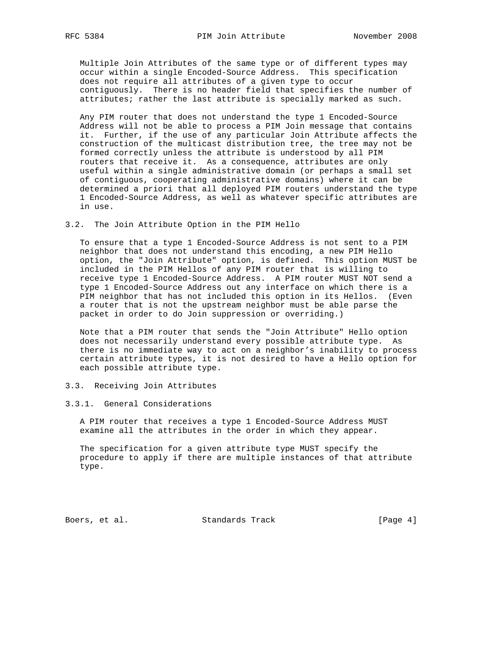Multiple Join Attributes of the same type or of different types may occur within a single Encoded-Source Address. This specification does not require all attributes of a given type to occur contiguously. There is no header field that specifies the number of attributes; rather the last attribute is specially marked as such.

 Any PIM router that does not understand the type 1 Encoded-Source Address will not be able to process a PIM Join message that contains it. Further, if the use of any particular Join Attribute affects the construction of the multicast distribution tree, the tree may not be formed correctly unless the attribute is understood by all PIM routers that receive it. As a consequence, attributes are only useful within a single administrative domain (or perhaps a small set of contiguous, cooperating administrative domains) where it can be determined a priori that all deployed PIM routers understand the type 1 Encoded-Source Address, as well as whatever specific attributes are in use.

3.2. The Join Attribute Option in the PIM Hello

 To ensure that a type 1 Encoded-Source Address is not sent to a PIM neighbor that does not understand this encoding, a new PIM Hello option, the "Join Attribute" option, is defined. This option MUST be included in the PIM Hellos of any PIM router that is willing to receive type 1 Encoded-Source Address. A PIM router MUST NOT send a type 1 Encoded-Source Address out any interface on which there is a PIM neighbor that has not included this option in its Hellos. (Even a router that is not the upstream neighbor must be able parse the packet in order to do Join suppression or overriding.)

 Note that a PIM router that sends the "Join Attribute" Hello option does not necessarily understand every possible attribute type. As there is no immediate way to act on a neighbor's inability to process certain attribute types, it is not desired to have a Hello option for each possible attribute type.

# 3.3. Receiving Join Attributes

### 3.3.1. General Considerations

 A PIM router that receives a type 1 Encoded-Source Address MUST examine all the attributes in the order in which they appear.

 The specification for a given attribute type MUST specify the procedure to apply if there are multiple instances of that attribute type.

Boers, et al. Standards Track [Page 4]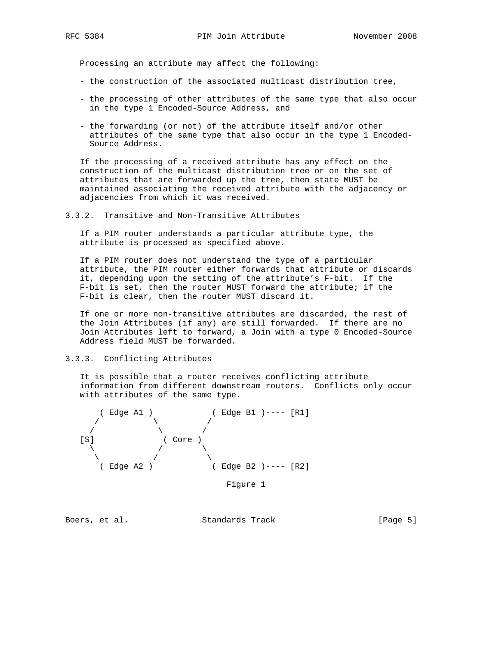Processing an attribute may affect the following:

- the construction of the associated multicast distribution tree,
- the processing of other attributes of the same type that also occur in the type 1 Encoded-Source Address, and
- the forwarding (or not) of the attribute itself and/or other attributes of the same type that also occur in the type 1 Encoded- Source Address.

 If the processing of a received attribute has any effect on the construction of the multicast distribution tree or on the set of attributes that are forwarded up the tree, then state MUST be maintained associating the received attribute with the adjacency or adjacencies from which it was received.

3.3.2. Transitive and Non-Transitive Attributes

 If a PIM router understands a particular attribute type, the attribute is processed as specified above.

 If a PIM router does not understand the type of a particular attribute, the PIM router either forwards that attribute or discards it, depending upon the setting of the attribute's F-bit. If the F-bit is set, then the router MUST forward the attribute; if the F-bit is clear, then the router MUST discard it.

 If one or more non-transitive attributes are discarded, the rest of the Join Attributes (if any) are still forwarded. If there are no Join Attributes left to forward, a Join with a type 0 Encoded-Source Address field MUST be forwarded.

# 3.3.3. Conflicting Attributes

 It is possible that a router receives conflicting attribute information from different downstream routers. Conflicts only occur with attributes of the same type.



Figure 1

Boers, et al. Standards Track [Page 5]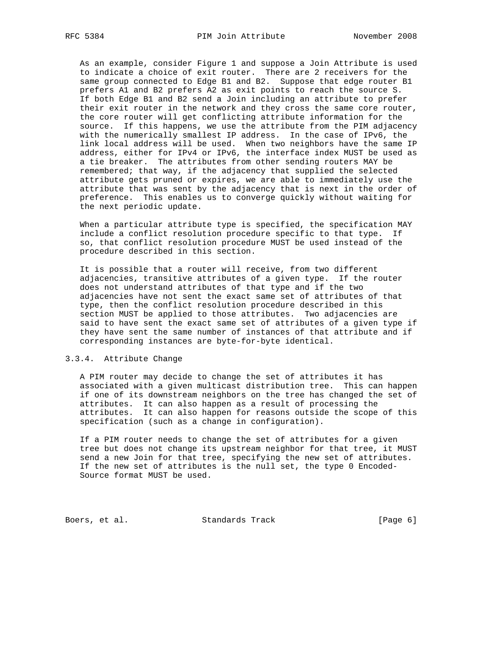As an example, consider Figure 1 and suppose a Join Attribute is used to indicate a choice of exit router. There are 2 receivers for the same group connected to Edge B1 and B2. Suppose that edge router B1 prefers A1 and B2 prefers A2 as exit points to reach the source S. If both Edge B1 and B2 send a Join including an attribute to prefer their exit router in the network and they cross the same core router, the core router will get conflicting attribute information for the source. If this happens, we use the attribute from the PIM adjacency with the numerically smallest IP address. In the case of IPv6, the link local address will be used. When two neighbors have the same IP address, either for IPv4 or IPv6, the interface index MUST be used as a tie breaker. The attributes from other sending routers MAY be remembered; that way, if the adjacency that supplied the selected attribute gets pruned or expires, we are able to immediately use the attribute that was sent by the adjacency that is next in the order of preference. This enables us to converge quickly without waiting for the next periodic update.

 When a particular attribute type is specified, the specification MAY include a conflict resolution procedure specific to that type. If so, that conflict resolution procedure MUST be used instead of the procedure described in this section.

 It is possible that a router will receive, from two different adjacencies, transitive attributes of a given type. If the router does not understand attributes of that type and if the two adjacencies have not sent the exact same set of attributes of that type, then the conflict resolution procedure described in this section MUST be applied to those attributes. Two adjacencies are said to have sent the exact same set of attributes of a given type if they have sent the same number of instances of that attribute and if corresponding instances are byte-for-byte identical.

### 3.3.4. Attribute Change

 A PIM router may decide to change the set of attributes it has associated with a given multicast distribution tree. This can happen if one of its downstream neighbors on the tree has changed the set of attributes. It can also happen as a result of processing the attributes. It can also happen for reasons outside the scope of this specification (such as a change in configuration).

 If a PIM router needs to change the set of attributes for a given tree but does not change its upstream neighbor for that tree, it MUST send a new Join for that tree, specifying the new set of attributes. If the new set of attributes is the null set, the type 0 Encoded- Source format MUST be used.

Boers, et al. Standards Track [Page 6]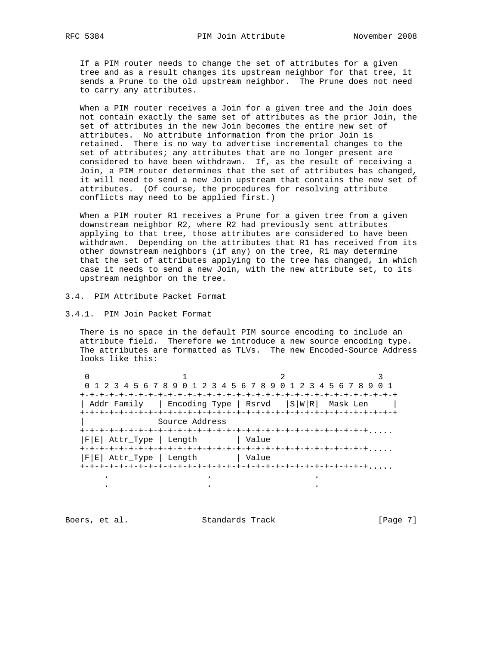If a PIM router needs to change the set of attributes for a given tree and as a result changes its upstream neighbor for that tree, it sends a Prune to the old upstream neighbor. The Prune does not need to carry any attributes.

When a PIM router receives a Join for a given tree and the Join does not contain exactly the same set of attributes as the prior Join, the set of attributes in the new Join becomes the entire new set of attributes. No attribute information from the prior Join is retained. There is no way to advertise incremental changes to the set of attributes; any attributes that are no longer present are considered to have been withdrawn. If, as the result of receiving a Join, a PIM router determines that the set of attributes has changed, it will need to send a new Join upstream that contains the new set of attributes. (Of course, the procedures for resolving attribute conflicts may need to be applied first.)

When a PIM router R1 receives a Prune for a given tree from a given downstream neighbor R2, where R2 had previously sent attributes applying to that tree, those attributes are considered to have been withdrawn. Depending on the attributes that R1 has received from its other downstream neighbors (if any) on the tree, R1 may determine that the set of attributes applying to the tree has changed, in which case it needs to send a new Join, with the new attribute set, to its upstream neighbor on the tree.

- 3.4. PIM Attribute Packet Format
- 3.4.1. PIM Join Packet Format

 There is no space in the default PIM source encoding to include an attribute field. Therefore we introduce a new source encoding type. The attributes are formatted as TLVs. The new Encoded-Source Address looks like this:

|                                         | 0 1 2 3 4 5 6 7 8 9 0 1 2 3 4 5 6 7 8 9 0 1 2 3 4 5 6 7 8 9 0 1 |  |
|-----------------------------------------|-----------------------------------------------------------------|--|
|                                         |                                                                 |  |
|                                         | Addr Family   Encoding Type   Rsrvd   S W R  Mask Len           |  |
|                                         |                                                                 |  |
| Source Address                          |                                                                 |  |
|                                         |                                                                 |  |
| F E  Attr_Type   Length           Value |                                                                 |  |
|                                         |                                                                 |  |
| F E  Attr_Type   Length           Value |                                                                 |  |
|                                         |                                                                 |  |
|                                         |                                                                 |  |

Boers, et al. Standards Track [Page 7]

. . .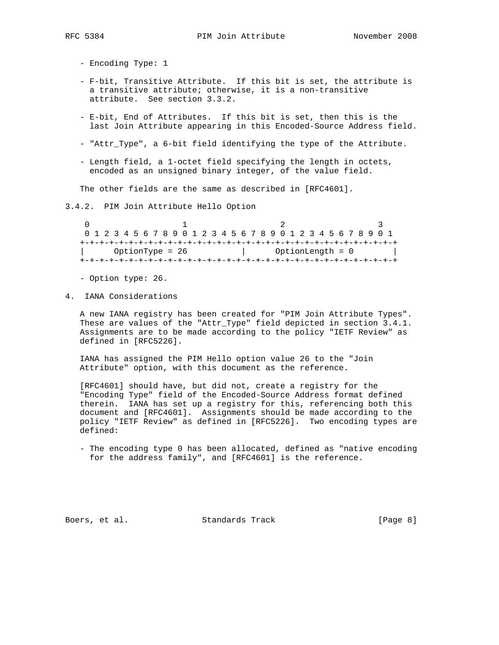- Encoding Type: 1

- F-bit, Transitive Attribute. If this bit is set, the attribute is a transitive attribute; otherwise, it is a non-transitive attribute. See section 3.3.2.
- E-bit, End of Attributes. If this bit is set, then this is the last Join Attribute appearing in this Encoded-Source Address field.
- "Attr\_Type", a 6-bit field identifying the type of the Attribute.
- Length field, a 1-octet field specifying the length in octets, encoded as an unsigned binary integer, of the value field.

The other fields are the same as described in [RFC4601].

### 3.4.2. PIM Join Attribute Hello Option

0  $1$  2 3 0 1 2 3 4 5 6 7 8 9 0 1 2 3 4 5 6 7 8 9 0 1 2 3 4 5 6 7 8 9 0 1 +-+-+-+-+-+-+-+-+-+-+-+-+-+-+-+-+-+-+-+-+-+-+-+-+-+-+-+-+-+-+-+-+ | OptionType = 26 | OptionLength = 0 | +-+-+-+-+-+-+-+-+-+-+-+-+-+-+-+-+-+-+-+-+-+-+-+-+-+-+-+-+-+-+-+-+

- Option type: 26.

4. IANA Considerations

 A new IANA registry has been created for "PIM Join Attribute Types". These are values of the "Attr\_Type" field depicted in section 3.4.1. Assignments are to be made according to the policy "IETF Review" as defined in [RFC5226].

 IANA has assigned the PIM Hello option value 26 to the "Join Attribute" option, with this document as the reference.

 [RFC4601] should have, but did not, create a registry for the "Encoding Type" field of the Encoded-Source Address format defined therein. IANA has set up a registry for this, referencing both this document and [RFC4601]. Assignments should be made according to the policy "IETF Review" as defined in [RFC5226]. Two encoding types are defined:

 - The encoding type 0 has been allocated, defined as "native encoding for the address family", and [RFC4601] is the reference.

Boers, et al. Standards Track [Page 8]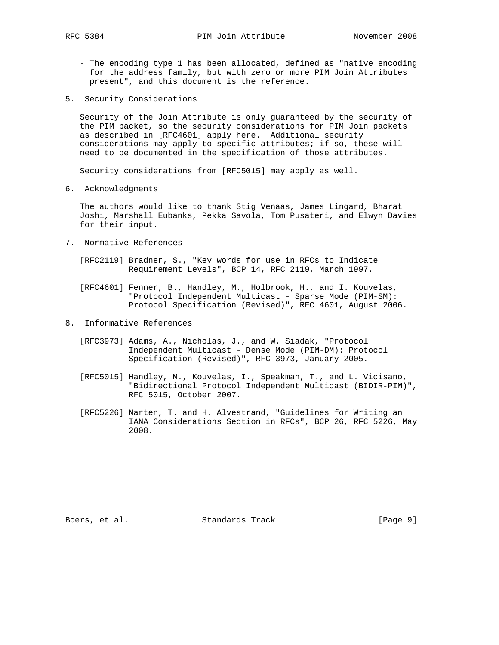- The encoding type 1 has been allocated, defined as "native encoding for the address family, but with zero or more PIM Join Attributes present", and this document is the reference.
- 5. Security Considerations

 Security of the Join Attribute is only guaranteed by the security of the PIM packet, so the security considerations for PIM Join packets as described in [RFC4601] apply here. Additional security considerations may apply to specific attributes; if so, these will need to be documented in the specification of those attributes.

Security considerations from [RFC5015] may apply as well.

6. Acknowledgments

 The authors would like to thank Stig Venaas, James Lingard, Bharat Joshi, Marshall Eubanks, Pekka Savola, Tom Pusateri, and Elwyn Davies for their input.

- 7. Normative References
	- [RFC2119] Bradner, S., "Key words for use in RFCs to Indicate Requirement Levels", BCP 14, RFC 2119, March 1997.
	- [RFC4601] Fenner, B., Handley, M., Holbrook, H., and I. Kouvelas, "Protocol Independent Multicast - Sparse Mode (PIM-SM): Protocol Specification (Revised)", RFC 4601, August 2006.
- 8. Informative References
	- [RFC3973] Adams, A., Nicholas, J., and W. Siadak, "Protocol Independent Multicast - Dense Mode (PIM-DM): Protocol Specification (Revised)", RFC 3973, January 2005.
	- [RFC5015] Handley, M., Kouvelas, I., Speakman, T., and L. Vicisano, "Bidirectional Protocol Independent Multicast (BIDIR-PIM)", RFC 5015, October 2007.
	- [RFC5226] Narten, T. and H. Alvestrand, "Guidelines for Writing an IANA Considerations Section in RFCs", BCP 26, RFC 5226, May 2008.

Boers, et al. Standards Track [Page 9]